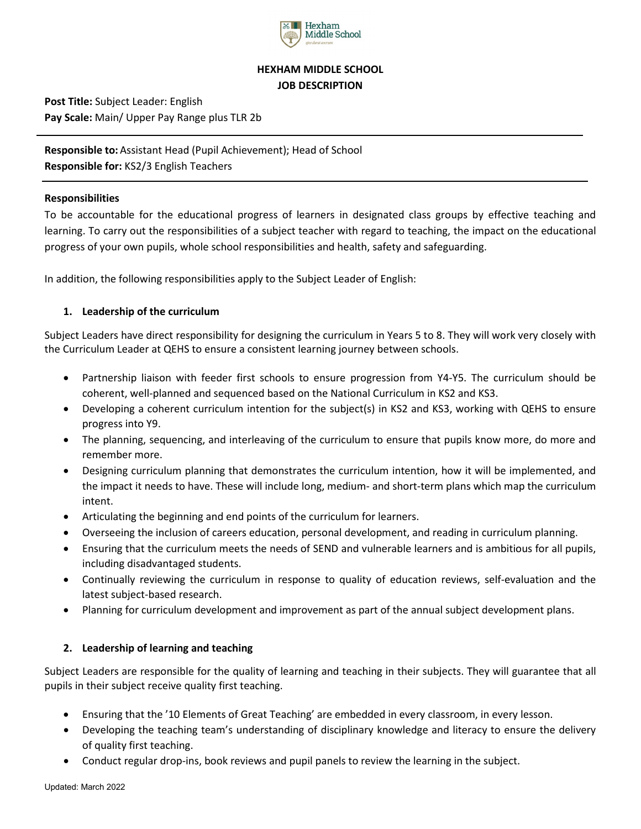

# **HEXHAM MIDDLE SCHOOL JOB DESCRIPTION**

**Post Title:** Subject Leader: English **Pay Scale:** Main/ Upper Pay Range plus TLR 2b

**Responsible to:** Assistant Head (Pupil Achievement); Head of School **Responsible for:** KS2/3 English Teachers

#### **Responsibilities**

To be accountable for the educational progress of learners in designated class groups by effective teaching and learning. To carry out the responsibilities of a subject teacher with regard to teaching, the impact on the educational progress of your own pupils, whole school responsibilities and health, safety and safeguarding.

In addition, the following responsibilities apply to the Subject Leader of English:

### **1. Leadership of the curriculum**

Subject Leaders have direct responsibility for designing the curriculum in Years 5 to 8. They will work very closely with the Curriculum Leader at QEHS to ensure a consistent learning journey between schools.

- Partnership liaison with feeder first schools to ensure progression from Y4-Y5. The curriculum should be coherent, well-planned and sequenced based on the National Curriculum in KS2 and KS3.
- Developing a coherent curriculum intention for the subject(s) in KS2 and KS3, working with QEHS to ensure progress into Y9.
- The planning, sequencing, and interleaving of the curriculum to ensure that pupils know more, do more and remember more.
- Designing curriculum planning that demonstrates the curriculum intention, how it will be implemented, and the impact it needs to have. These will include long, medium- and short-term plans which map the curriculum intent.
- Articulating the beginning and end points of the curriculum for learners.
- Overseeing the inclusion of careers education, personal development, and reading in curriculum planning.
- Ensuring that the curriculum meets the needs of SEND and vulnerable learners and is ambitious for all pupils, including disadvantaged students.
- Continually reviewing the curriculum in response to quality of education reviews, self-evaluation and the latest subject-based research.
- Planning for curriculum development and improvement as part of the annual subject development plans.

## **2. Leadership of learning and teaching**

Subject Leaders are responsible for the quality of learning and teaching in their subjects. They will guarantee that all pupils in their subject receive quality first teaching.

- Ensuring that the '10 Elements of Great Teaching' are embedded in every classroom, in every lesson.
- Developing the teaching team's understanding of disciplinary knowledge and literacy to ensure the delivery of quality first teaching.
- Conduct regular drop-ins, book reviews and pupil panels to review the learning in the subject.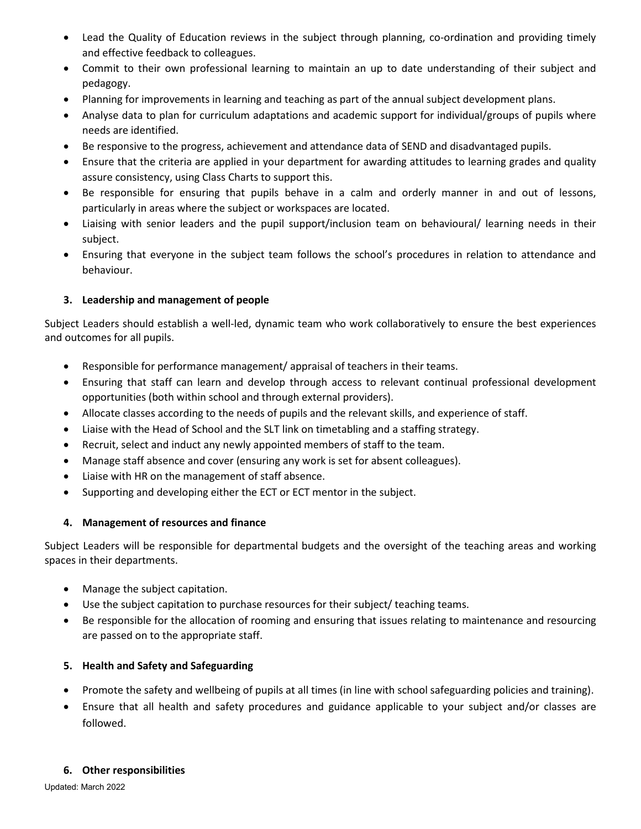- Lead the Quality of Education reviews in the subject through planning, co-ordination and providing timely and effective feedback to colleagues.
- Commit to their own professional learning to maintain an up to date understanding of their subject and pedagogy.
- Planning for improvements in learning and teaching as part of the annual subject development plans.
- Analyse data to plan for curriculum adaptations and academic support for individual/groups of pupils where needs are identified.
- Be responsive to the progress, achievement and attendance data of SEND and disadvantaged pupils.
- Ensure that the criteria are applied in your department for awarding attitudes to learning grades and quality assure consistency, using Class Charts to support this.
- Be responsible for ensuring that pupils behave in a calm and orderly manner in and out of lessons, particularly in areas where the subject or workspaces are located.
- Liaising with senior leaders and the pupil support/inclusion team on behavioural/ learning needs in their subject.
- Ensuring that everyone in the subject team follows the school's procedures in relation to attendance and behaviour.

## **3. Leadership and management of people**

Subject Leaders should establish a well-led, dynamic team who work collaboratively to ensure the best experiences and outcomes for all pupils.

- Responsible for performance management/ appraisal of teachers in their teams.
- Ensuring that staff can learn and develop through access to relevant continual professional development opportunities (both within school and through external providers).
- Allocate classes according to the needs of pupils and the relevant skills, and experience of staff.
- Liaise with the Head of School and the SLT link on timetabling and a staffing strategy.
- Recruit, select and induct any newly appointed members of staff to the team.
- Manage staff absence and cover (ensuring any work is set for absent colleagues).
- Liaise with HR on the management of staff absence.
- Supporting and developing either the ECT or ECT mentor in the subject.

#### **4. Management of resources and finance**

Subject Leaders will be responsible for departmental budgets and the oversight of the teaching areas and working spaces in their departments.

- Manage the subject capitation.
- Use the subject capitation to purchase resources for their subject/ teaching teams.
- Be responsible for the allocation of rooming and ensuring that issues relating to maintenance and resourcing are passed on to the appropriate staff.

## **5. Health and Safety and Safeguarding**

- Promote the safety and wellbeing of pupils at all times (in line with school safeguarding policies and training).
- Ensure that all health and safety procedures and guidance applicable to your subject and/or classes are followed.

#### **6. Other responsibilities**